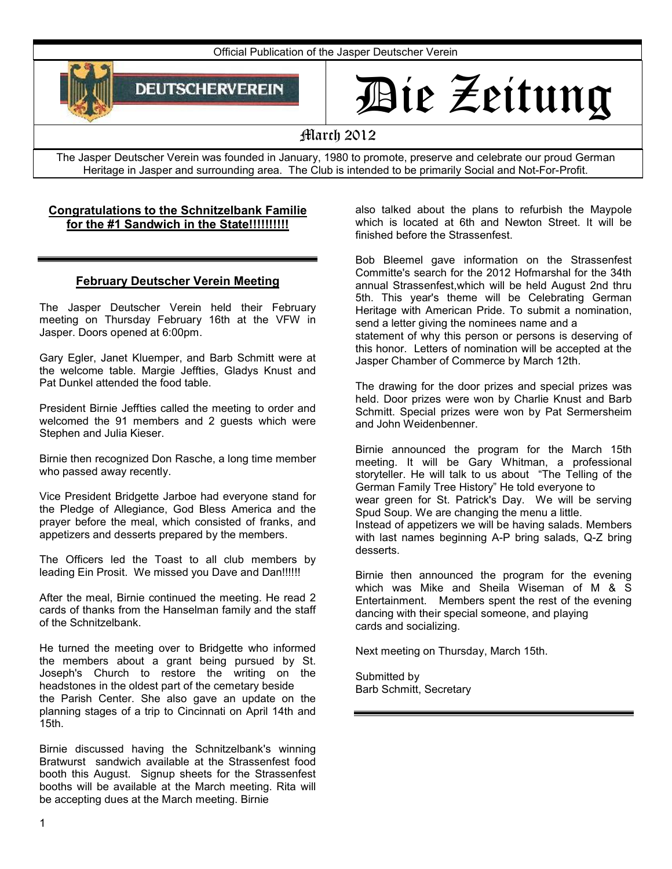

# Die Zeitung

# March 2012

The Jasper Deutscher Verein was founded in January, 1980 to promote, preserve and celebrate our proud German Heritage in Jasper and surrounding area. The Club is intended to be primarily Social and Not-For-Profit.

## **Congratulations to the Schnitzelbank Familie for the #1 Sandwich in the State!!!!!!!!!!**

#### **February Deutscher Verein Meeting**

The Jasper Deutscher Verein held their February meeting on Thursday February 16th at the VFW in Jasper. Doors opened at 6:00pm.

Gary Egler, Janet Kluemper, and Barb Schmitt were at the welcome table. Margie Jeffties, Gladys Knust and Pat Dunkel attended the food table.

President Birnie Jeffties called the meeting to order and welcomed the 91 members and 2 guests which were Stephen and Julia Kieser.

Birnie then recognized Don Rasche, a long time member who passed away recently.

Vice President Bridgette Jarboe had everyone stand for the Pledge of Allegiance, God Bless America and the prayer before the meal, which consisted of franks, and appetizers and desserts prepared by the members.

The Officers led the Toast to all club members by leading Ein Prosit. We missed you Dave and Dan!!!!!!

After the meal, Birnie continued the meeting. He read 2 cards of thanks from the Hanselman family and the staff of the Schnitzelbank.

He turned the meeting over to Bridgette who informed the members about a grant being pursued by St. Joseph's Church to restore the writing on the headstones in the oldest part of the cemetary beside the Parish Center. She also gave an update on the planning stages of a trip to Cincinnati on April 14th and 15th.

Birnie discussed having the Schnitzelbank's winning Bratwurst sandwich available at the Strassenfest food booth this August. Signup sheets for the Strassenfest booths will be available at the March meeting. Rita will be accepting dues at the March meeting. Birnie

also talked about the plans to refurbish the Maypole which is located at 6th and Newton Street. It will be finished before the Strassenfest.

Bob Bleemel gave information on the Strassenfest Committe's search for the 2012 Hofmarshal for the 34th annual Strassenfest,which will be held August 2nd thru 5th. This year's theme will be Celebrating German Heritage with American Pride. To submit a nomination, send a letter giving the nominees name and a statement of why this person or persons is deserving of this honor. Letters of nomination will be accepted at the Jasper Chamber of Commerce by March 12th.

The drawing for the door prizes and special prizes was held. Door prizes were won by Charlie Knust and Barb Schmitt. Special prizes were won by Pat Sermersheim and John Weidenbenner.

Birnie announced the program for the March 15th meeting. It will be Gary Whitman, a professional storyteller. He will talk to us about "The Telling of the German Family Tree History" He told everyone to wear green for St. Patrick's Day. We will be serving Spud Soup. We are changing the menu a little. Instead of appetizers we will be having salads. Members

with last names beginning A-P bring salads, Q-Z bring desserts.

Birnie then announced the program for the evening which was Mike and Sheila Wiseman of M & S Entertainment. Members spent the rest of the evening dancing with their special someone, and playing cards and socializing.

Next meeting on Thursday, March 15th.

Submitted by Barb Schmitt, Secretary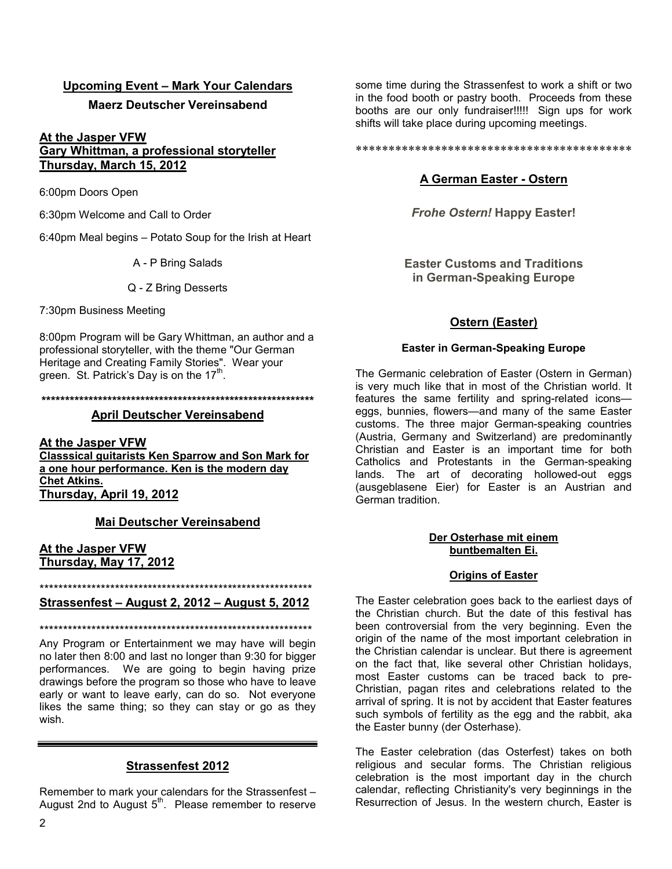## **Upcoming Event – Mark Your Calendars**

#### **Maerz Deutscher Vereinsabend**

## **At the Jasper VFW Gary Whittman, a professional storyteller Thursday, March 15, 2012**

6:00pm Doors Open

6:30pm Welcome and Call to Order

6:40pm Meal begins – Potato Soup for the Irish at Heart

A - P Bring Salads

Q - Z Bring Desserts

7:30pm Business Meeting

8:00pm Program will be Gary Whittman, an author and a professional storyteller, with the theme "Our German Heritage and Creating Family Stories". Wear your green. St. Patrick's Day is on the  $17<sup>th</sup>$ .

#### **\*\*\*\*\*\*\*\*\*\*\*\*\*\*\*\*\*\*\*\*\*\*\*\*\*\*\*\*\*\*\*\*\*\*\*\*\*\*\*\*\*\*\*\*\*\*\*\*\*\*\*\*\*\*\*\*\*\***

#### **April Deutscher Vereinsabend**

**At the Jasper VFW Classsical guitarists Ken Sparrow and Son Mark for a one hour performance. Ken is the modern day Chet Atkins. Thursday, April 19, 2012**

#### **Mai Deutscher Vereinsabend**

#### **At the Jasper VFW Thursday, May 17, 2012**

\*\*\*\*\*\*\*\*\*\*\*\*\*\*\*\*\*\*\*\*\*\*\*\*\*\*\*\*\*\*\*\*\*\*\*\*\*\*\*\*\*\*\*\*\*\*\*\*\*\*\*\*\*\*\*\*\*\*

## **Strassenfest – August 2, 2012 – August 5, 2012**

\*\*\*\*\*\*\*\*\*\*\*\*\*\*\*\*\*\*\*\*\*\*\*\*\*\*\*\*\*\*\*\*\*\*\*\*\*\*\*\*\*\*\*\*\*\*\*\*\*\*\*\*\*\*\*\*\*\*

Any Program or Entertainment we may have will begin no later then 8:00 and last no longer than 9:30 for bigger performances. We are going to begin having prize drawings before the program so those who have to leave early or want to leave early, can do so. Not everyone likes the same thing; so they can stay or go as they wish.

## **Strassenfest 2012**

Remember to mark your calendars for the Strassenfest – August 2nd to August  $5<sup>th</sup>$ . Please remember to reserve

some time during the Strassenfest to work a shift or two in the food booth or pastry booth. Proceeds from these booths are our only fundraiser!!!!! Sign ups for work shifts will take place during upcoming meetings.

\*\*\*\*\*\*\*\*\*\*\*\*\*\*\*\*\*\*\*\*\*\*\*\*\*\*\*\*\*\*\*\*\*\*\*\*\*\*\*\*\*\*

## **A German Easter - Ostern**

*Frohe Ostern!* **Happy Easter!**

**Easter Customs and Traditions in German-Speaking Europe**

## **Ostern (Easter)**

#### **Easter in German-Speaking Europe**

The Germanic celebration of Easter (Ostern in German) is very much like that in most of the Christian world. It features the same fertility and spring-related icons eggs, bunnies, flowers—and many of the same Easter customs. The three major German-speaking countries (Austria, Germany and Switzerland) are predominantly Christian and Easter is an important time for both Catholics and Protestants in the German-speaking lands. The art of decorating hollowed-out eggs (ausgeblasene Eier) for Easter is an Austrian and German tradition.

#### **Der Osterhase mit einem buntbemalten Ei.**

#### **Origins of Easter**

The Easter celebration goes back to the earliest days of the Christian church. But the date of this festival has been controversial from the very beginning. Even the origin of the name of the most important celebration in the Christian calendar is unclear. But there is agreement on the fact that, like several other Christian holidays, most Easter customs can be traced back to pre-Christian, pagan rites and celebrations related to the arrival of spring. It is not by accident that Easter features such symbols of fertility as the egg and the rabbit, aka the Easter bunny (der Osterhase).

The Easter celebration (das Osterfest) takes on both religious and secular forms. The Christian religious celebration is the most important day in the church calendar, reflecting Christianity's very beginnings in the Resurrection of Jesus. In the western church, Easter is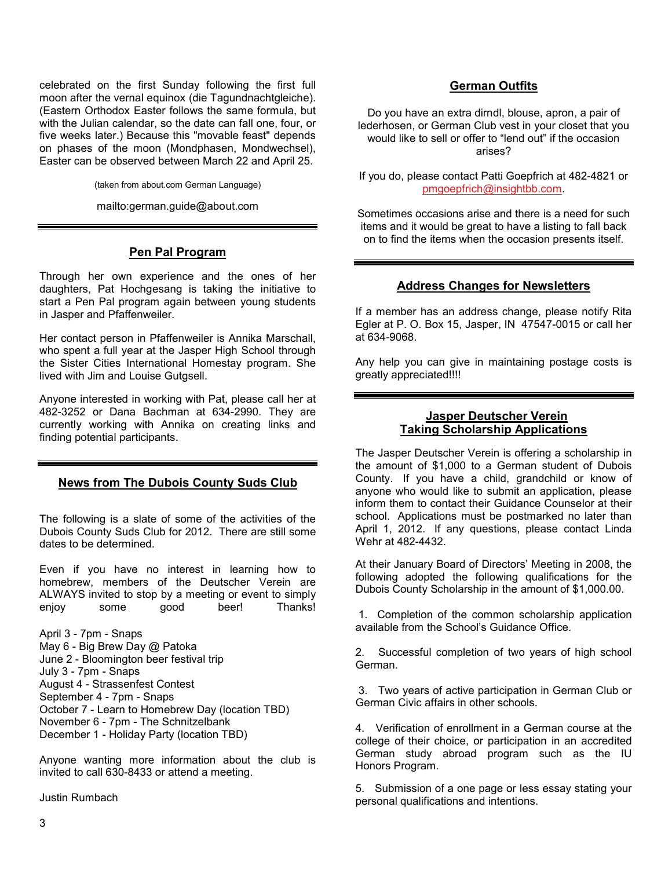celebrated on the first Sunday following the first full moon after the vernal equinox (die Tagundnachtgleiche). (Eastern Orthodox Easter follows the same formula, but with the Julian calendar, so the date can fall one, four, or five weeks later.) Because this "movable feast" depends on phases of the moon (Mondphasen, Mondwechsel), Easter can be observed between March 22 and April 25.

(taken from about.com German Language)

mailto:german.guide@about.com

## **Pen Pal Program**

Through her own experience and the ones of her daughters, Pat Hochgesang is taking the initiative to start a Pen Pal program again between young students in Jasper and Pfaffenweiler.

Her contact person in Pfaffenweiler is Annika Marschall, who spent a full year at the Jasper High School through the Sister Cities International Homestay program. She lived with Jim and Louise Gutgsell.

Anyone interested in working with Pat, please call her at 482-3252 or Dana Bachman at 634-2990. They are currently working with Annika on creating links and finding potential participants.

#### **News from The Dubois County Suds Club**

The following is a slate of some of the activities of the Dubois County Suds Club for 2012. There are still some dates to be determined.

Even if you have no interest in learning how to homebrew, members of the Deutscher Verein are ALWAYS invited to stop by a meeting or event to simply enjoy some good beer! Thanks!

April 3 - 7pm - Snaps May 6 - Big Brew Day @ Patoka June 2 - Bloomington beer festival trip July 3 - 7pm - Snaps August 4 - Strassenfest Contest September 4 - 7pm - Snaps October 7 - Learn to Homebrew Day (location TBD) November 6 - 7pm - The Schnitzelbank December 1 - Holiday Party (location TBD)

Anyone wanting more information about the club is invited to call 630-8433 or attend a meeting.

Justin Rumbach

## **German Outfits**

Do you have an extra dirndl, blouse, apron, a pair of lederhosen, or German Club vest in your closet that you would like to sell or offer to "lend out" if the occasion arises?

If you do, please contact Patti Goepfrich at 482-4821 or pmgoepfrich@insightbb.com.

Sometimes occasions arise and there is a need for such items and it would be great to have a listing to fall back on to find the items when the occasion presents itself.

#### **Address Changes for Newsletters**

If a member has an address change, please notify Rita Egler at P. O. Box 15, Jasper, IN 47547-0015 or call her at 634-9068.

Any help you can give in maintaining postage costs is greatly appreciated!!!!

### **Jasper Deutscher Verein Taking Scholarship Applications**

The Jasper Deutscher Verein is offering a scholarship in the amount of \$1,000 to a German student of Dubois County. If you have a child, grandchild or know of anyone who would like to submit an application, please inform them to contact their Guidance Counselor at their school. Applications must be postmarked no later than April 1, 2012. If any questions, please contact Linda Wehr at 482-4432.

At their January Board of Directors' Meeting in 2008, the following adopted the following qualifications for the Dubois County Scholarship in the amount of \$1,000.00.

1. Completion of the common scholarship application available from the School's Guidance Office.

2. Successful completion of two years of high school German.

 3. Two years of active participation in German Club or German Civic affairs in other schools.

4. Verification of enrollment in a German course at the college of their choice, or participation in an accredited German study abroad program such as the IU Honors Program.

5. Submission of a one page or less essay stating your personal qualifications and intentions.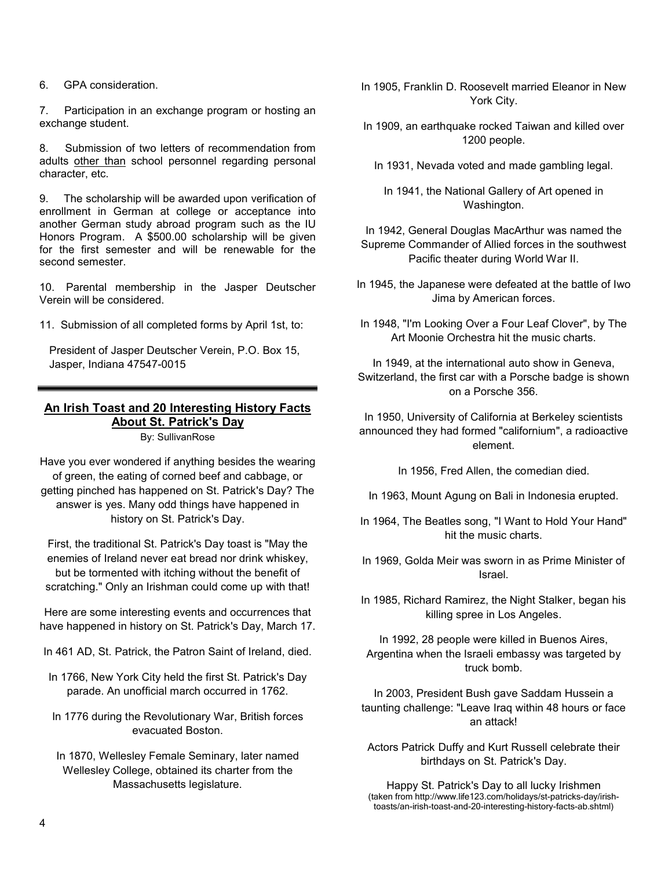6. GPA consideration.

7. Participation in an exchange program or hosting an exchange student.

8. Submission of two letters of recommendation from adults other than school personnel regarding personal character, etc.

9. The scholarship will be awarded upon verification of enrollment in German at college or acceptance into another German study abroad program such as the IU Honors Program. A \$500.00 scholarship will be given for the first semester and will be renewable for the second semester.

10. Parental membership in the Jasper Deutscher Verein will be considered.

11. Submission of all completed forms by April 1st, to:

President of Jasper Deutscher Verein, P.O. Box 15, Jasper, Indiana 47547-0015

# **An Irish Toast and 20 Interesting History Facts About St. Patrick's Day**

By: SullivanRose

Have you ever wondered if anything besides the wearing of green, the eating of corned beef and cabbage, or getting pinched has happened on St. Patrick's Day? The answer is yes. Many odd things have happened in history on St. Patrick's Day.

First, the traditional St. Patrick's Day toast is "May the enemies of Ireland never eat bread nor drink whiskey, but be tormented with itching without the benefit of scratching." Only an Irishman could come up with that!

Here are some interesting events and occurrences that have happened in history on St. Patrick's Day, March 17.

In 461 AD, St. Patrick, the Patron Saint of Ireland, died.

- In 1766, New York City held the first St. Patrick's Day parade. An unofficial march occurred in 1762.
- In 1776 during the Revolutionary War, British forces evacuated Boston.

In 1870, Wellesley Female Seminary, later named Wellesley College, obtained its charter from the Massachusetts legislature.

- In 1905, Franklin D. Roosevelt married Eleanor in New York City.
- In 1909, an earthquake rocked Taiwan and killed over 1200 people.
	- In 1931, Nevada voted and made gambling legal.

In 1941, the National Gallery of Art opened in Washington.

In 1942, General Douglas MacArthur was named the Supreme Commander of Allied forces in the southwest Pacific theater during World War II.

- In 1945, the Japanese were defeated at the battle of Iwo Jima by American forces.
- In 1948, "I'm Looking Over a Four Leaf Clover", by The Art Moonie Orchestra hit the music charts.

In 1949, at the international auto show in Geneva, Switzerland, the first car with a Porsche badge is shown on a Porsche 356.

In 1950, University of California at Berkeley scientists announced they had formed "californium", a radioactive element.

In 1956, Fred Allen, the comedian died.

- In 1963, Mount Agung on Bali in Indonesia erupted.
- In 1964, The Beatles song, "I Want to Hold Your Hand" hit the music charts.
- In 1969, Golda Meir was sworn in as Prime Minister of Israel.

In 1985, Richard Ramirez, the Night Stalker, began his killing spree in Los Angeles.

In 1992, 28 people were killed in Buenos Aires, Argentina when the Israeli embassy was targeted by truck bomb.

In 2003, President Bush gave Saddam Hussein a taunting challenge: "Leave Iraq within 48 hours or face an attack!

Actors Patrick Duffy and Kurt Russell celebrate their birthdays on St. Patrick's Day.

Happy St. Patrick's Day to all lucky Irishmen (taken from http://www.life123.com/holidays/st-patricks-day/irishtoasts/an-irish-toast-and-20-interesting-history-facts-ab.shtml)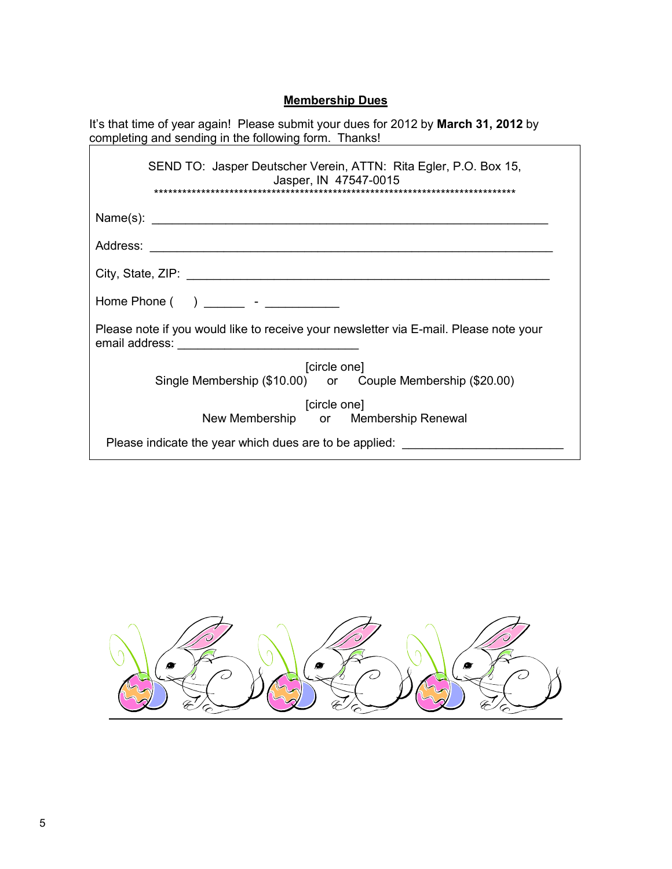# **Membership Dues**

| It's that time of year again! Please submit your dues for 2012 by <b>March 31, 2012</b> by<br>completing and sending in the following form. Thanks! |
|-----------------------------------------------------------------------------------------------------------------------------------------------------|
| SEND TO: Jasper Deutscher Verein, ATTN: Rita Egler, P.O. Box 15,<br>Jasper, IN 47547-0015                                                           |
| Name(s):                                                                                                                                            |
|                                                                                                                                                     |
|                                                                                                                                                     |
| Home Phone $($ $)$ _______ - ____________                                                                                                           |
| Please note if you would like to receive your newsletter via E-mail. Please note your                                                               |
| [circle one]                                                                                                                                        |
| Single Membership (\$10.00) or Couple Membership (\$20.00)                                                                                          |
| [circle one]                                                                                                                                        |
| New Membership or Membership Renewal                                                                                                                |
| Please indicate the year which dues are to be applied:                                                                                              |